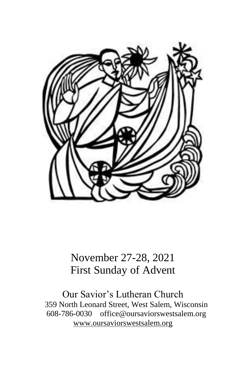

# November 27-28, 2021 First Sunday of Advent

Our Savior's Lutheran Church 359 North Leonard Street, West Salem, Wisconsin 608-786-0030 office@oursaviorswestsalem.org [www.oursaviorswestsalem.org](http://www.oursaviorswestsalem.org/)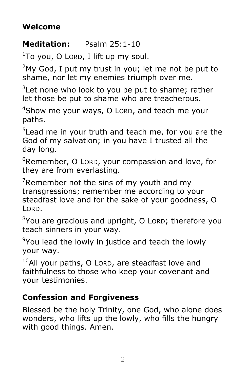### **Welcome**

### **Meditation:** Psalm 25:1-10

 $1$ To you, O Lorp, I lift up my soul.

 $2$ My God, I put my trust in you; let me not be put to shame, nor let my enemies triumph over me.

 $3$ Let none who look to you be put to shame; rather let those be put to shame who are treacherous.

<sup>4</sup>Show me your ways, O LORD, and teach me your paths.

<sup>5</sup>Lead me in your truth and teach me, for you are the God of my salvation; in you have I trusted all the day long.

 $6R$ emember, O Lorp, your compassion and love, for they are from everlasting.

 $7$ Remember not the sins of my youth and my transgressions; remember me according to your steadfast love and for the sake of your goodness, O LORD.

 $8$ You are gracious and upright, O LORD; therefore you teach sinners in your way.

 $9$ You lead the lowly in justice and teach the lowly your way.

 $10$ All your paths, O LORD, are steadfast love and faithfulness to those who keep your covenant and your testimonies.

### **Confession and Forgiveness**

Blessed be the holy Trinity, one God, who alone does wonders, who lifts up the lowly, who fills the hungry with good things. Amen.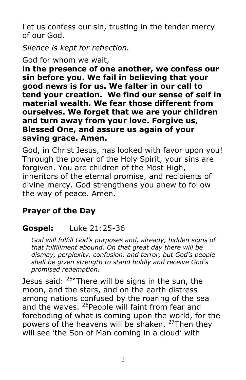Let us confess our sin, trusting in the tender mercy of our God.

*Silence is kept for reflection.*

God for whom we wait,

**in the presence of one another, we confess our sin before you. We fail in believing that your good news is for us. We falter in our call to tend your creation. We find our sense of self in material wealth. We fear those different from ourselves. We forget that we are your children and turn away from your love. Forgive us, Blessed One, and assure us again of your saving grace. Amen.**

God, in Christ Jesus, has looked with favor upon you! Through the power of the Holy Spirit, your sins are forgiven. You are children of the Most High, inheritors of the eternal promise, and recipients of divine mercy. God strengthens you anew to follow the way of peace. Amen.

# **Prayer of the Day**

# **Gospel:** Luke 21:25-36

*God will fulfill God's purposes and, already, hidden signs of that fulfillment abound. On that great day there will be dismay, perplexity, confusion, and terror, but God's people shall be given strength to stand boldly and receive God's promised redemption.*

Jesus said:  $25$ <sup>N</sup>There will be signs in the sun, the moon, and the stars, and on the earth distress among nations confused by the roaring of the sea and the waves. <sup>26</sup> People will faint from fear and foreboding of what is coming upon the world, for the powers of the heavens will be shaken. <sup>27</sup>Then they will see 'the Son of Man coming in a cloud' with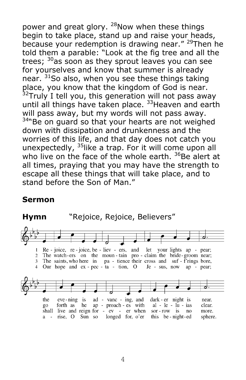power and great glory. <sup>28</sup>Now when these things begin to take place, stand up and raise your heads, because your redemption is drawing near." <sup>29</sup>Then he told them a parable: "Look at the fig tree and all the trees; <sup>30</sup>as soon as they sprout leaves you can see for yourselves and know that summer is already near. <sup>31</sup>So also, when you see these things taking place, you know that the kingdom of God is near.  $32$ Truly I tell you, this generation will not pass away until all things have taken place. <sup>33</sup>Heaven and earth will pass away, but my words will not pass away.  $34$ "Be on guard so that your hearts are not weighed down with dissipation and drunkenness and the worries of this life, and that day does not catch you unexpectedly,  $35$ like a trap. For it will come upon all who live on the face of the whole earth.  $36$ Be alert at all times, praying that you may have the strength to escape all these things that will take place, and to stand before the Son of Man."

#### **Sermon**

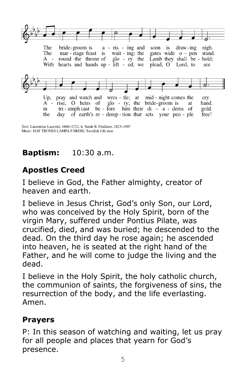

Text: Laurentius Laurenti, 1660-1722; tr. Sarah B. Findlater, 1823-1907 Music: HAF TRONES LAMPA FÄRDIG, Swedish folk tune

# **Baptism:** 10:30 a.m.

# **Apostles Creed**

I believe in God, the Father almighty, creator of heaven and earth.

I believe in Jesus Christ, God's only Son, our Lord, who was conceived by the Holy Spirit, born of the virgin Mary, suffered under Pontius Pilate, was crucified, died, and was buried; he descended to the dead. On the third day he rose again; he ascended into heaven, he is seated at the right hand of the Father, and he will come to judge the living and the dead.

I believe in the Holy Spirit, the holy catholic church, the communion of saints, the forgiveness of sins, the resurrection of the body, and the life everlasting. Amen.

#### **Prayers**

P: In this season of watching and waiting, let us pray for all people and places that yearn for God's presence.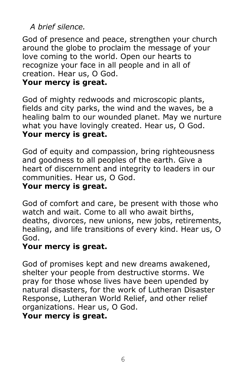# *A brief silence.*

God of presence and peace, strengthen your church around the globe to proclaim the message of your love coming to the world. Open our hearts to recognize your face in all people and in all of creation. Hear us, O God.

#### **Your mercy is great.**

God of mighty redwoods and microscopic plants, fields and city parks, the wind and the waves, be a healing balm to our wounded planet. May we nurture what you have lovingly created. Hear us, O God. **Your mercy is great.**

God of equity and compassion, bring righteousness and goodness to all peoples of the earth. Give a heart of discernment and integrity to leaders in our communities. Hear us, O God.

#### **Your mercy is great.**

God of comfort and care, be present with those who watch and wait. Come to all who await births, deaths, divorces, new unions, new jobs, retirements, healing, and life transitions of every kind. Hear us, O God.

### **Your mercy is great.**

God of promises kept and new dreams awakened, shelter your people from destructive storms. We pray for those whose lives have been upended by natural disasters, for the work of Lutheran Disaster Response, Lutheran World Relief, and other relief organizations. Hear us, O God.

#### **Your mercy is great.**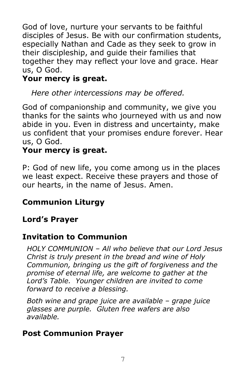God of love, nurture your servants to be faithful disciples of Jesus. Be with our confirmation students, especially Nathan and Cade as they seek to grow in their discipleship, and guide their families that together they may reflect your love and grace. Hear us, O God.

# **Your mercy is great.**

*Here other intercessions may be offered.*

God of companionship and community, we give you thanks for the saints who journeyed with us and now abide in you. Even in distress and uncertainty, make us confident that your promises endure forever. Hear us, O God.

### **Your mercy is great.**

P: God of new life, you come among us in the places we least expect. Receive these prayers and those of our hearts, in the name of Jesus. Amen.

# **Communion Liturgy**

# **Lord's Prayer**

# **Invitation to Communion**

*HOLY COMMUNION – All who believe that our Lord Jesus Christ is truly present in the bread and wine of Holy Communion, bringing us the gift of forgiveness and the promise of eternal life, are welcome to gather at the Lord's Table. Younger children are invited to come forward to receive a blessing.*

*Both wine and grape juice are available – grape juice glasses are purple. Gluten free wafers are also available.*

### **Post Communion Prayer**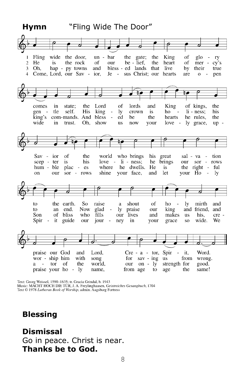

Text: Georg Weissel, 1590-1635; tr. Gracia Grindal, b. 1943<br>Music: MACHT HOCH DIE TÜR, J. A. Freylinghausen, Geistreiches Gesangbuch, 1704 Text © 1978 Lutheran Book of Worship, admin. Augsburg Fortress

#### **Blessing**

#### **Dismissal**

Go in peace. Christ is near. **Thanks be to God.**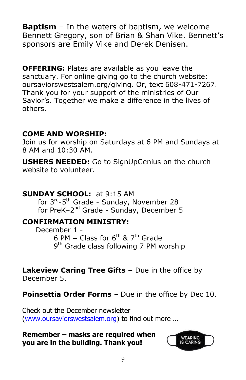**Baptism** – In the waters of baptism, we welcome Bennett Gregory, son of Brian & Shan Vike. Bennett's sponsors are Emily Vike and Derek Denisen.

**OFFERING:** Plates are available as you leave the sanctuary. For online giving go to the church website: oursaviorswestsalem.org/giving. Or, text 608-471-7267. Thank you for your support of the ministries of Our Savior's. Together we make a difference in the lives of others.

#### **COME AND WORSHIP:**

Join us for worship on Saturdays at 6 PM and Sundays at 8 AM and 10:30 AM.

**USHERS NEEDED:** Go to SignUpGenius on the church website to volunteer.

#### **SUNDAY SCHOOL:** at 9:15 AM

for 3<sup>rd</sup>-5<sup>th</sup> Grade - Sunday, November 28 for PreK-2<sup>nd</sup> Grade - Sunday, December 5

#### **CONFIRMATION MINISTRY:**

December 1 - 6 PM  $-$  Class for 6<sup>th</sup> & 7<sup>th</sup> Grade 9<sup>th</sup> Grade class following 7 PM worship

**Lakeview Caring Tree Gifts –** Due in the office by December 5.

**Poinsettia Order Forms** – Due in the office by Dec 10.

Check out the December newsletter [\(www.oursaviorswestsalem.org](http://www.oursaviorswestsalem.org/)) to find out more …

**Remember – masks are required when you are in the building. Thank you!**